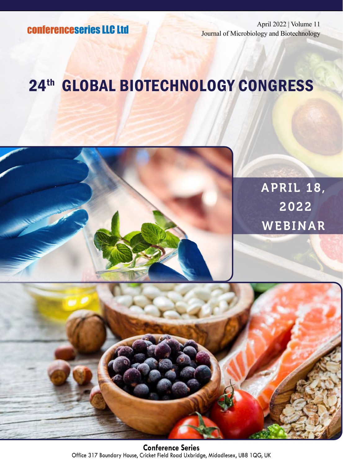April 2022 | Volume 11 Journal of Microbiology and Biotechnology

# 24th GLOBAL BIOTECHNOLOGY CONGRESS

APRIL 18, 2022 WEBINAR



**Conference Series** Office 317 Boundary House, Cricket Field Road Uxbridge, Midadlesex, UB8 1QG, UK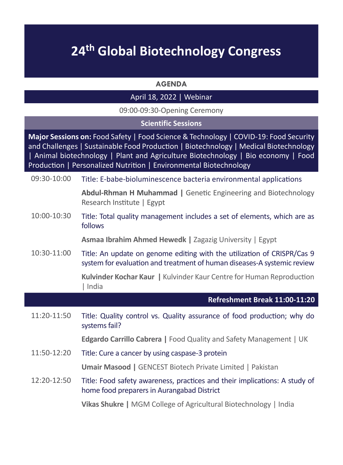## **24th Global Biotechnology Congress**

#### **AGENDA**

#### April 18, 2022 | Webinar

09:00-09:30-Opening Ceremony

#### **Scientific Sessions**

**Major Sessions on:** Food Safety | Food Science & Technology | COVID-19: Food Security and Challenges | Sustainable Food Production | Biotechnology | Medical Biotechnology | Animal biotechnology | Plant and Agriculture Biotechnology | Bio economy | Food Production | Personalized Nutrition | Environmental Biotechnology

09:30-10:00 Title: E-babe-bioluminescence bacteria environmental applications

**Abdul-Rhman H Muhammad |** Genetic Engineering and Biotechnology Research Institute | Egypt

10:00-10:30 Title: Total quality management includes a set of elements, which are as follows

**Asmaa Ibrahim Ahmed Hewedk |** Zagazig University | Egypt

10:30-11:00 Title: An update on genome editing with the utilization of CRISPR/Cas 9 system for evaluation and treatment of human diseases-A systemic review

> **Kulvinder Kochar Kaur |** Kulvinder Kaur Centre for Human Reproduction | India

### **Refreshment Break 11:00-11:20** 11:20-11:50 Title: Quality control vs. Quality assurance of food production; why do systems fail? **Edgardo Carrillo Cabrera |** Food Quality and Safety Management | UK 11:50-12:20 Title: Cure a cancer by using caspase-3 protein **Umair Masood |** GENCEST Biotech Private Limited | Pakistan 12:20-12:50 Title: Food safety awareness, practices and their implications: A study of home food preparers in Aurangabad District **Vikas Shukre |** MGM College of Agricultural Biotechnology | India